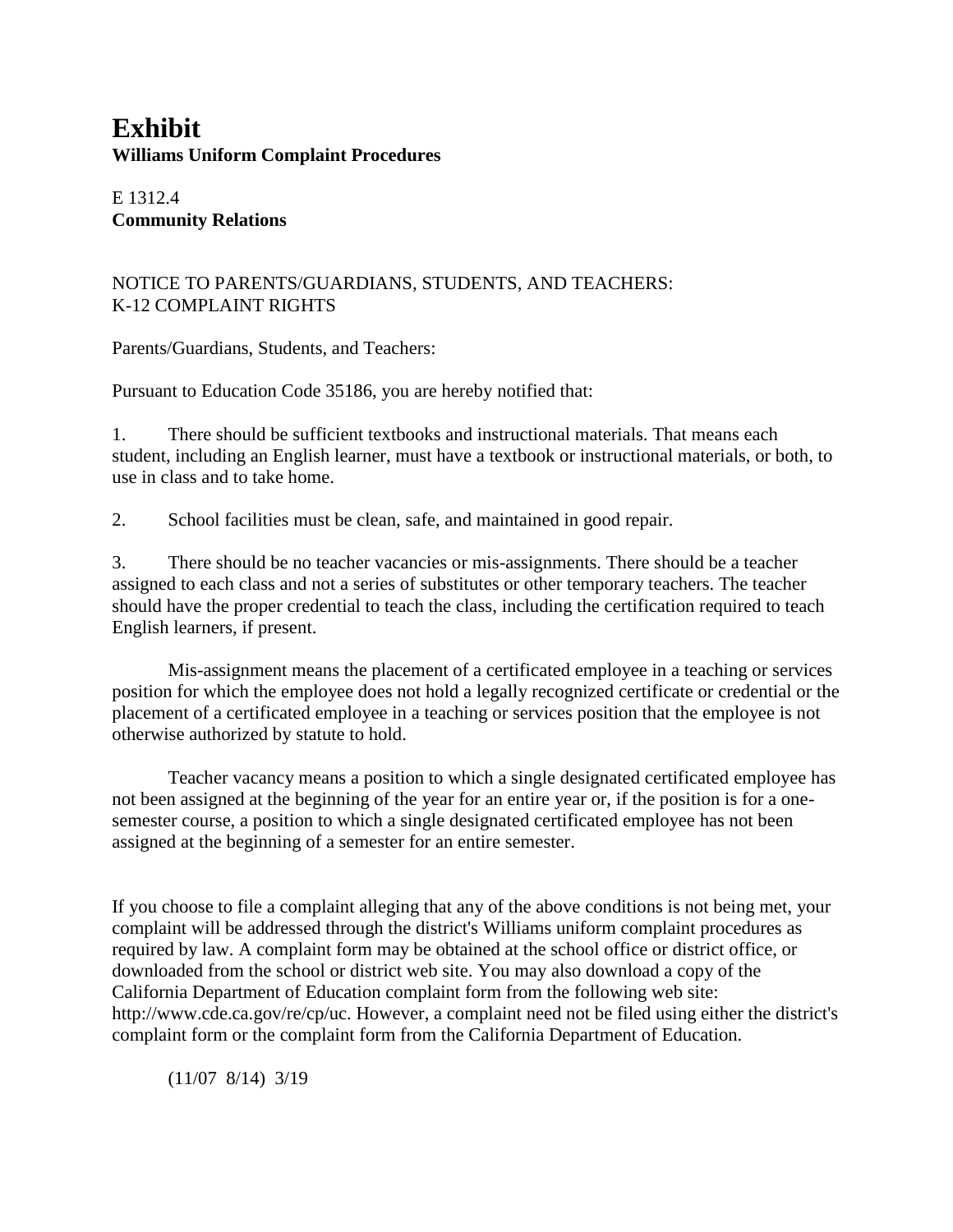# **Exhibit Williams Uniform Complaint Procedures**

E 1312.4 **Community Relations**

# NOTICE TO PARENTS/GUARDIANS, STUDENTS, AND TEACHERS: K-12 COMPLAINT RIGHTS

Parents/Guardians, Students, and Teachers:

Pursuant to Education Code 35186, you are hereby notified that:

1. There should be sufficient textbooks and instructional materials. That means each student, including an English learner, must have a textbook or instructional materials, or both, to use in class and to take home.

2. School facilities must be clean, safe, and maintained in good repair.

3. There should be no teacher vacancies or mis-assignments. There should be a teacher assigned to each class and not a series of substitutes or other temporary teachers. The teacher should have the proper credential to teach the class, including the certification required to teach English learners, if present.

Mis-assignment means the placement of a certificated employee in a teaching or services position for which the employee does not hold a legally recognized certificate or credential or the placement of a certificated employee in a teaching or services position that the employee is not otherwise authorized by statute to hold.

Teacher vacancy means a position to which a single designated certificated employee has not been assigned at the beginning of the year for an entire year or, if the position is for a onesemester course, a position to which a single designated certificated employee has not been assigned at the beginning of a semester for an entire semester.

If you choose to file a complaint alleging that any of the above conditions is not being met, your complaint will be addressed through the district's Williams uniform complaint procedures as required by law. A complaint form may be obtained at the school office or district office, or downloaded from the school or district web site. You may also download a copy of the California Department of Education complaint form from the following web site: http://www.cde.ca.gov/re/cp/uc. However, a complaint need not be filed using either the district's complaint form or the complaint form from the California Department of Education.

(11/07 8/14) 3/19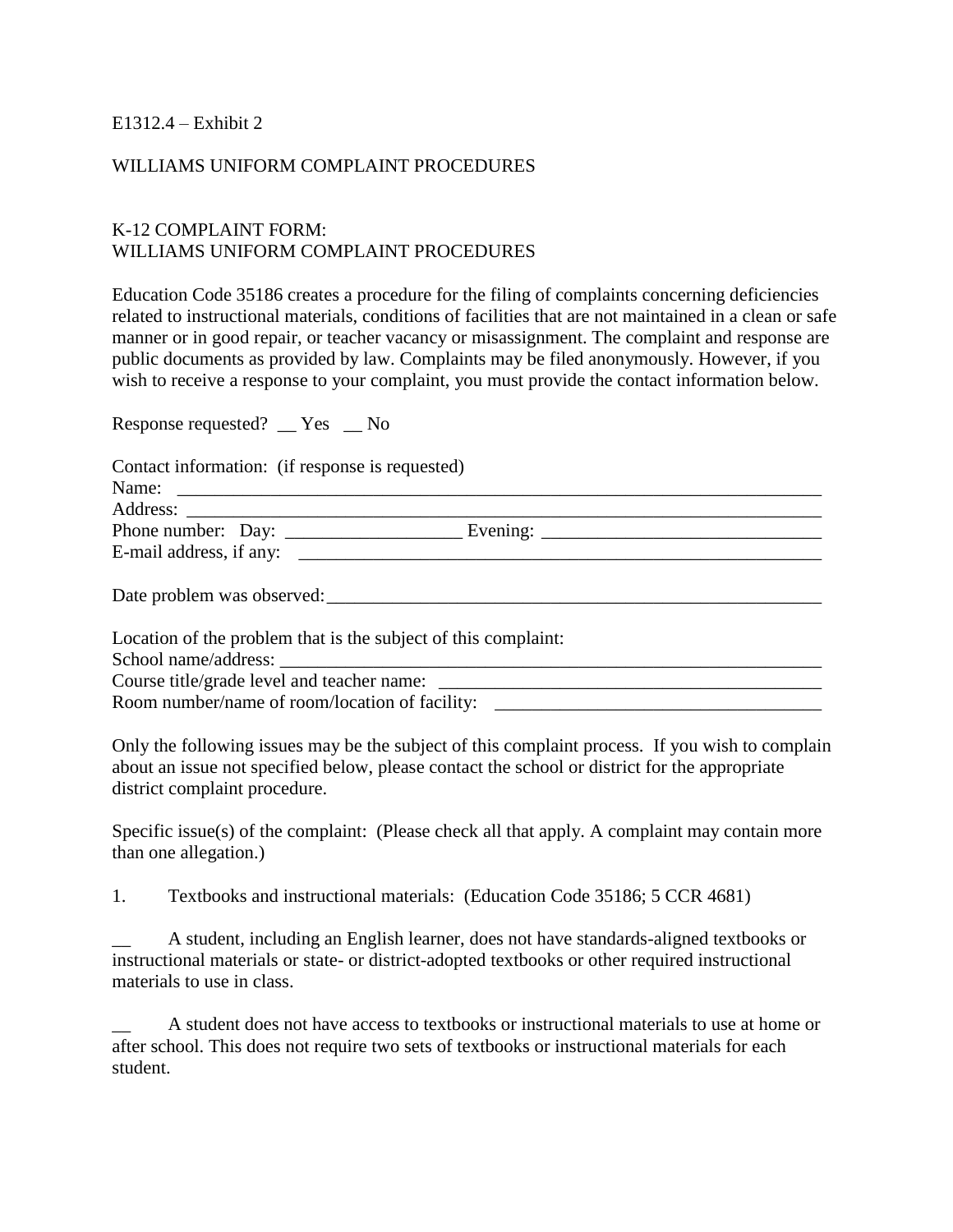### E1312.4 – Exhibit 2

#### WILLIAMS UNIFORM COMPLAINT PROCEDURES

### K-12 COMPLAINT FORM: WILLIAMS UNIFORM COMPLAINT PROCEDURES

Education Code 35186 creates a procedure for the filing of complaints concerning deficiencies related to instructional materials, conditions of facilities that are not maintained in a clean or safe manner or in good repair, or teacher vacancy or misassignment. The complaint and response are public documents as provided by law. Complaints may be filed anonymously. However, if you wish to receive a response to your complaint, you must provide the contact information below.

Response requested? \_\_ Yes \_\_ No

| Contact information: (if response is requested)<br>Name:       |  |  |
|----------------------------------------------------------------|--|--|
|                                                                |  |  |
|                                                                |  |  |
|                                                                |  |  |
| Date problem was observed:                                     |  |  |
| Location of the problem that is the subject of this complaint: |  |  |
|                                                                |  |  |
|                                                                |  |  |
| Room number/name of room/location of facility:                 |  |  |

Only the following issues may be the subject of this complaint process. If you wish to complain about an issue not specified below, please contact the school or district for the appropriate district complaint procedure.

Specific issue(s) of the complaint: (Please check all that apply. A complaint may contain more than one allegation.)

1. Textbooks and instructional materials: (Education Code 35186; 5 CCR 4681)

\_\_ A student, including an English learner, does not have standards-aligned textbooks or instructional materials or state- or district-adopted textbooks or other required instructional materials to use in class.

\_\_ A student does not have access to textbooks or instructional materials to use at home or after school. This does not require two sets of textbooks or instructional materials for each student.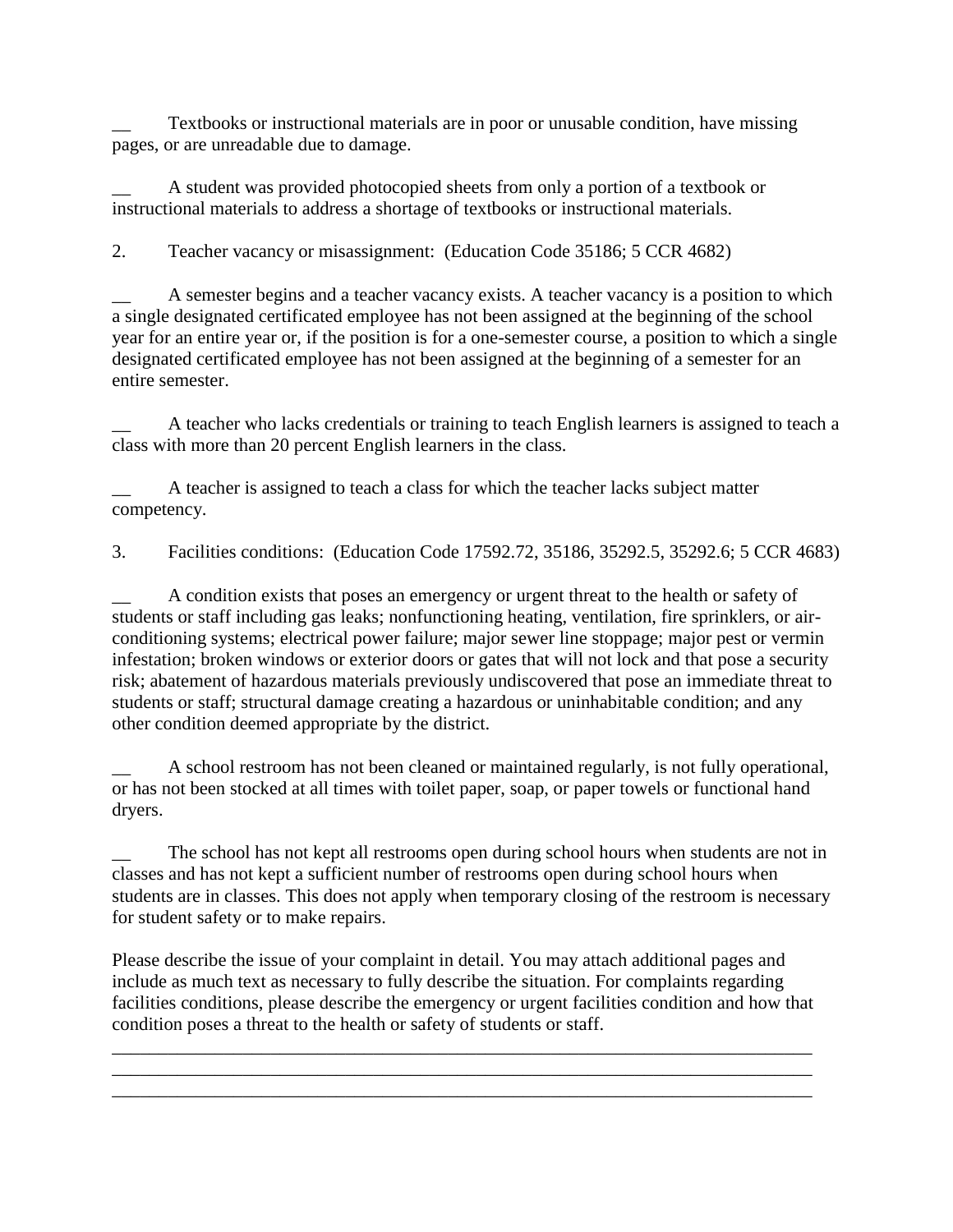Textbooks or instructional materials are in poor or unusable condition, have missing pages, or are unreadable due to damage.

A student was provided photocopied sheets from only a portion of a textbook or instructional materials to address a shortage of textbooks or instructional materials.

2. Teacher vacancy or misassignment: (Education Code 35186; 5 CCR 4682)

A semester begins and a teacher vacancy exists. A teacher vacancy is a position to which a single designated certificated employee has not been assigned at the beginning of the school year for an entire year or, if the position is for a one-semester course, a position to which a single designated certificated employee has not been assigned at the beginning of a semester for an entire semester.

A teacher who lacks credentials or training to teach English learners is assigned to teach a class with more than 20 percent English learners in the class.

A teacher is assigned to teach a class for which the teacher lacks subject matter competency.

3. Facilities conditions: (Education Code 17592.72, 35186, 35292.5, 35292.6; 5 CCR 4683)

\_\_ A condition exists that poses an emergency or urgent threat to the health or safety of students or staff including gas leaks; nonfunctioning heating, ventilation, fire sprinklers, or airconditioning systems; electrical power failure; major sewer line stoppage; major pest or vermin infestation; broken windows or exterior doors or gates that will not lock and that pose a security risk; abatement of hazardous materials previously undiscovered that pose an immediate threat to students or staff; structural damage creating a hazardous or uninhabitable condition; and any other condition deemed appropriate by the district.

A school restroom has not been cleaned or maintained regularly, is not fully operational, or has not been stocked at all times with toilet paper, soap, or paper towels or functional hand dryers.

The school has not kept all restrooms open during school hours when students are not in classes and has not kept a sufficient number of restrooms open during school hours when students are in classes. This does not apply when temporary closing of the restroom is necessary for student safety or to make repairs.

Please describe the issue of your complaint in detail. You may attach additional pages and include as much text as necessary to fully describe the situation. For complaints regarding facilities conditions, please describe the emergency or urgent facilities condition and how that condition poses a threat to the health or safety of students or staff.

\_\_\_\_\_\_\_\_\_\_\_\_\_\_\_\_\_\_\_\_\_\_\_\_\_\_\_\_\_\_\_\_\_\_\_\_\_\_\_\_\_\_\_\_\_\_\_\_\_\_\_\_\_\_\_\_\_\_\_\_\_\_\_\_\_\_\_\_\_\_\_\_\_\_\_ \_\_\_\_\_\_\_\_\_\_\_\_\_\_\_\_\_\_\_\_\_\_\_\_\_\_\_\_\_\_\_\_\_\_\_\_\_\_\_\_\_\_\_\_\_\_\_\_\_\_\_\_\_\_\_\_\_\_\_\_\_\_\_\_\_\_\_\_\_\_\_\_\_\_\_ \_\_\_\_\_\_\_\_\_\_\_\_\_\_\_\_\_\_\_\_\_\_\_\_\_\_\_\_\_\_\_\_\_\_\_\_\_\_\_\_\_\_\_\_\_\_\_\_\_\_\_\_\_\_\_\_\_\_\_\_\_\_\_\_\_\_\_\_\_\_\_\_\_\_\_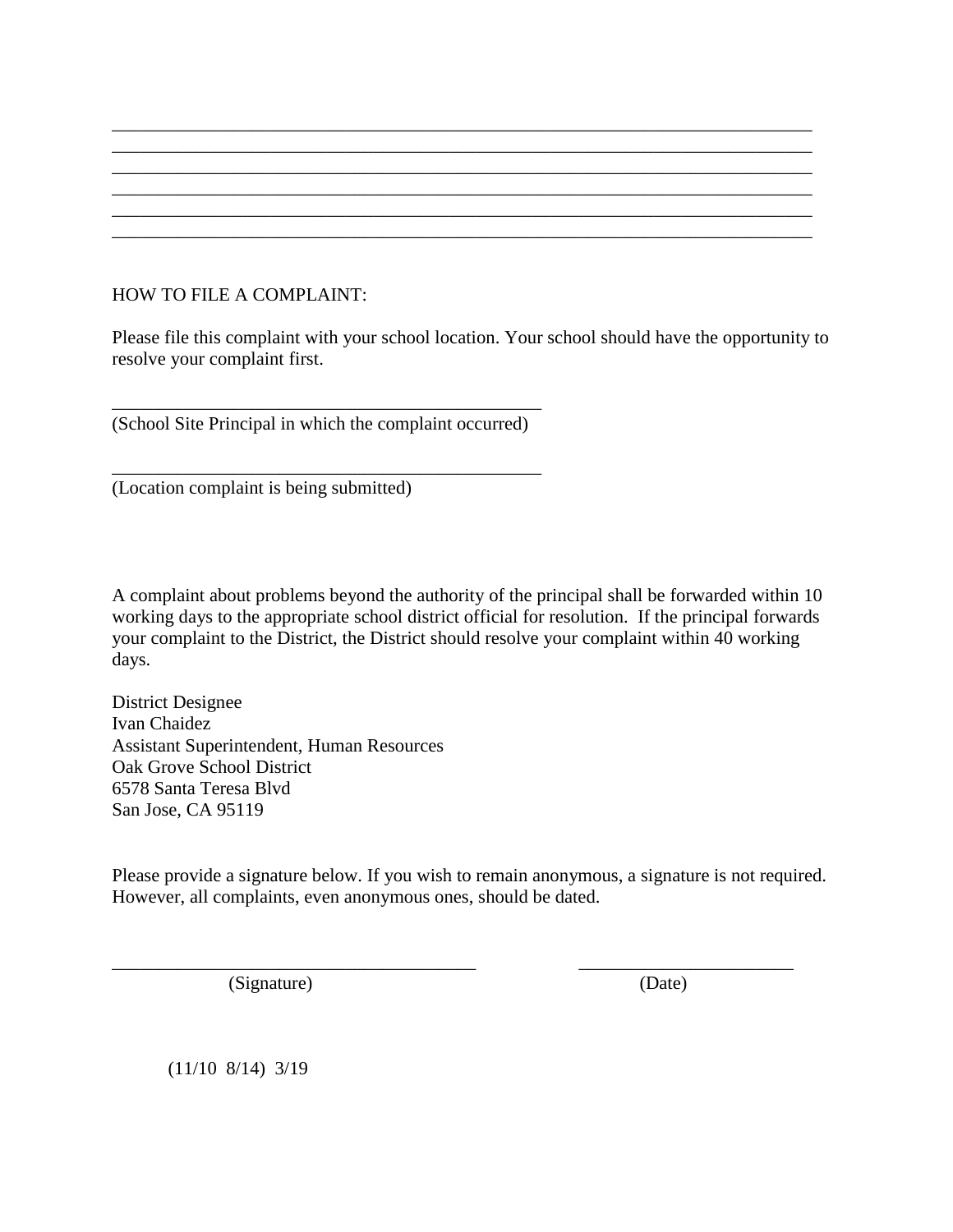# HOW TO FILE A COMPLAINT:

Please file this complaint with your school location. Your school should have the opportunity to resolve your complaint first.

\_\_\_\_\_\_\_\_\_\_\_\_\_\_\_\_\_\_\_\_\_\_\_\_\_\_\_\_\_\_\_\_\_\_\_\_\_\_\_\_\_\_\_\_\_\_\_\_\_\_\_\_\_\_\_\_\_\_\_\_\_\_\_\_\_\_\_\_\_\_\_\_\_\_\_ \_\_\_\_\_\_\_\_\_\_\_\_\_\_\_\_\_\_\_\_\_\_\_\_\_\_\_\_\_\_\_\_\_\_\_\_\_\_\_\_\_\_\_\_\_\_\_\_\_\_\_\_\_\_\_\_\_\_\_\_\_\_\_\_\_\_\_\_\_\_\_\_\_\_\_ \_\_\_\_\_\_\_\_\_\_\_\_\_\_\_\_\_\_\_\_\_\_\_\_\_\_\_\_\_\_\_\_\_\_\_\_\_\_\_\_\_\_\_\_\_\_\_\_\_\_\_\_\_\_\_\_\_\_\_\_\_\_\_\_\_\_\_\_\_\_\_\_\_\_\_ \_\_\_\_\_\_\_\_\_\_\_\_\_\_\_\_\_\_\_\_\_\_\_\_\_\_\_\_\_\_\_\_\_\_\_\_\_\_\_\_\_\_\_\_\_\_\_\_\_\_\_\_\_\_\_\_\_\_\_\_\_\_\_\_\_\_\_\_\_\_\_\_\_\_\_ \_\_\_\_\_\_\_\_\_\_\_\_\_\_\_\_\_\_\_\_\_\_\_\_\_\_\_\_\_\_\_\_\_\_\_\_\_\_\_\_\_\_\_\_\_\_\_\_\_\_\_\_\_\_\_\_\_\_\_\_\_\_\_\_\_\_\_\_\_\_\_\_\_\_\_ \_\_\_\_\_\_\_\_\_\_\_\_\_\_\_\_\_\_\_\_\_\_\_\_\_\_\_\_\_\_\_\_\_\_\_\_\_\_\_\_\_\_\_\_\_\_\_\_\_\_\_\_\_\_\_\_\_\_\_\_\_\_\_\_\_\_\_\_\_\_\_\_\_\_\_

\_\_\_\_\_\_\_\_\_\_\_\_\_\_\_\_\_\_\_\_\_\_\_\_\_\_\_\_\_\_\_\_\_\_\_\_\_\_\_\_\_\_\_\_\_\_ (School Site Principal in which the complaint occurred)

\_\_\_\_\_\_\_\_\_\_\_\_\_\_\_\_\_\_\_\_\_\_\_\_\_\_\_\_\_\_\_\_\_\_\_\_\_\_\_\_\_\_\_\_\_\_

(Location complaint is being submitted)

A complaint about problems beyond the authority of the principal shall be forwarded within 10 working days to the appropriate school district official for resolution. If the principal forwards your complaint to the District, the District should resolve your complaint within 40 working days.

District Designee Ivan Chaidez Assistant Superintendent, Human Resources Oak Grove School District 6578 Santa Teresa Blvd San Jose, CA 95119

Please provide a signature below. If you wish to remain anonymous, a signature is not required. However, all complaints, even anonymous ones, should be dated.

\_\_\_\_\_\_\_\_\_\_\_\_\_\_\_\_\_\_\_\_\_\_\_\_\_\_\_\_\_\_\_\_\_\_\_\_\_\_\_ \_\_\_\_\_\_\_\_\_\_\_\_\_\_\_\_\_\_\_\_\_\_\_

(Signature) (Date)

(11/10 8/14) 3/19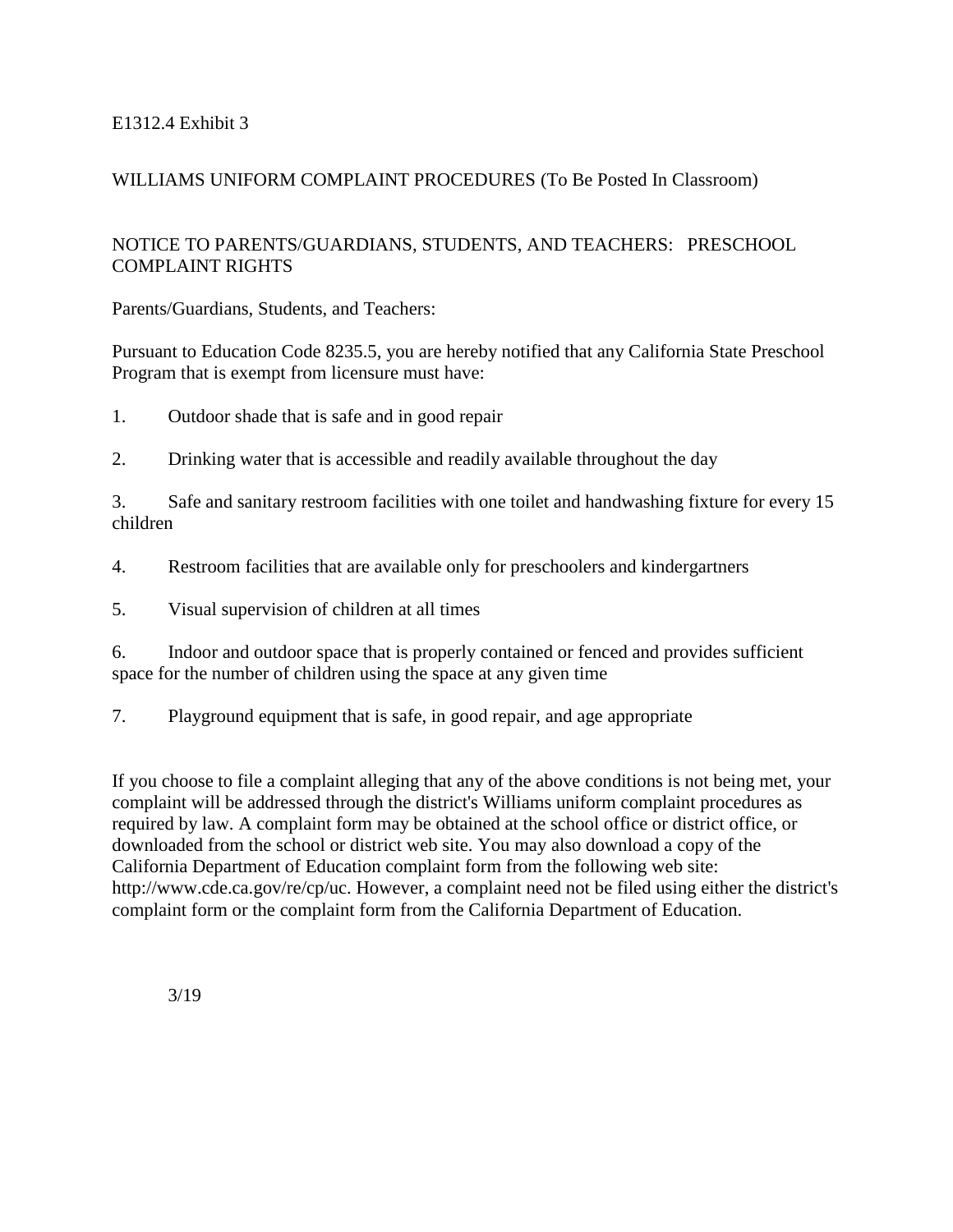## E1312.4 Exhibit 3

## WILLIAMS UNIFORM COMPLAINT PROCEDURES (To Be Posted In Classroom)

## NOTICE TO PARENTS/GUARDIANS, STUDENTS, AND TEACHERS: PRESCHOOL COMPLAINT RIGHTS

Parents/Guardians, Students, and Teachers:

Pursuant to Education Code 8235.5, you are hereby notified that any California State Preschool Program that is exempt from licensure must have:

1. Outdoor shade that is safe and in good repair

2. Drinking water that is accessible and readily available throughout the day

3. Safe and sanitary restroom facilities with one toilet and handwashing fixture for every 15 children

4. Restroom facilities that are available only for preschoolers and kindergartners

5. Visual supervision of children at all times

6. Indoor and outdoor space that is properly contained or fenced and provides sufficient space for the number of children using the space at any given time

7. Playground equipment that is safe, in good repair, and age appropriate

If you choose to file a complaint alleging that any of the above conditions is not being met, your complaint will be addressed through the district's Williams uniform complaint procedures as required by law. A complaint form may be obtained at the school office or district office, or downloaded from the school or district web site. You may also download a copy of the California Department of Education complaint form from the following web site: http://www.cde.ca.gov/re/cp/uc. However, a complaint need not be filed using either the district's complaint form or the complaint form from the California Department of Education.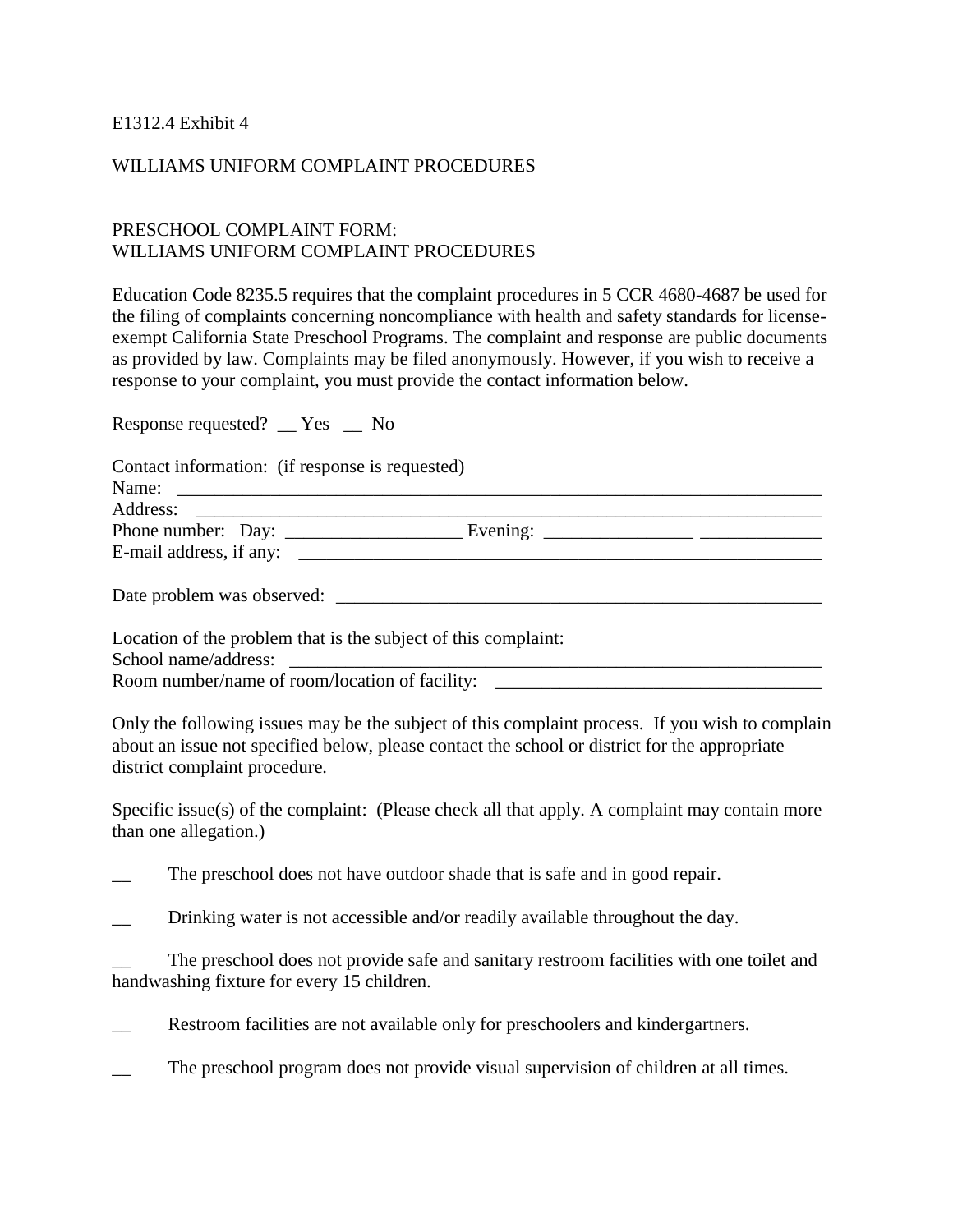E1312.4 Exhibit 4

### WILLIAMS UNIFORM COMPLAINT PROCEDURES

## PRESCHOOL COMPLAINT FORM: WILLIAMS UNIFORM COMPLAINT PROCEDURES

Education Code 8235.5 requires that the complaint procedures in 5 CCR 4680-4687 be used for the filing of complaints concerning noncompliance with health and safety standards for licenseexempt California State Preschool Programs. The complaint and response are public documents as provided by law. Complaints may be filed anonymously. However, if you wish to receive a response to your complaint, you must provide the contact information below.

Response requested? \_\_ Yes \_\_ No

| Contact information: (if response is requested)                |  |  |
|----------------------------------------------------------------|--|--|
|                                                                |  |  |
|                                                                |  |  |
| E-mail address, if any:                                        |  |  |
| Date problem was observed:                                     |  |  |
|                                                                |  |  |
| Location of the problem that is the subject of this complaint: |  |  |
|                                                                |  |  |

Room number/name of room/location of facility: \_\_\_\_\_\_\_\_\_\_\_\_\_\_\_\_\_\_\_\_\_\_\_\_\_\_\_\_\_\_\_\_\_

Only the following issues may be the subject of this complaint process. If you wish to complain about an issue not specified below, please contact the school or district for the appropriate district complaint procedure.

Specific issue(s) of the complaint: (Please check all that apply. A complaint may contain more than one allegation.)

The preschool does not have outdoor shade that is safe and in good repair.

Drinking water is not accessible and/or readily available throughout the day.

The preschool does not provide safe and sanitary restroom facilities with one toilet and handwashing fixture for every 15 children.

Restroom facilities are not available only for preschoolers and kindergartners.

The preschool program does not provide visual supervision of children at all times.